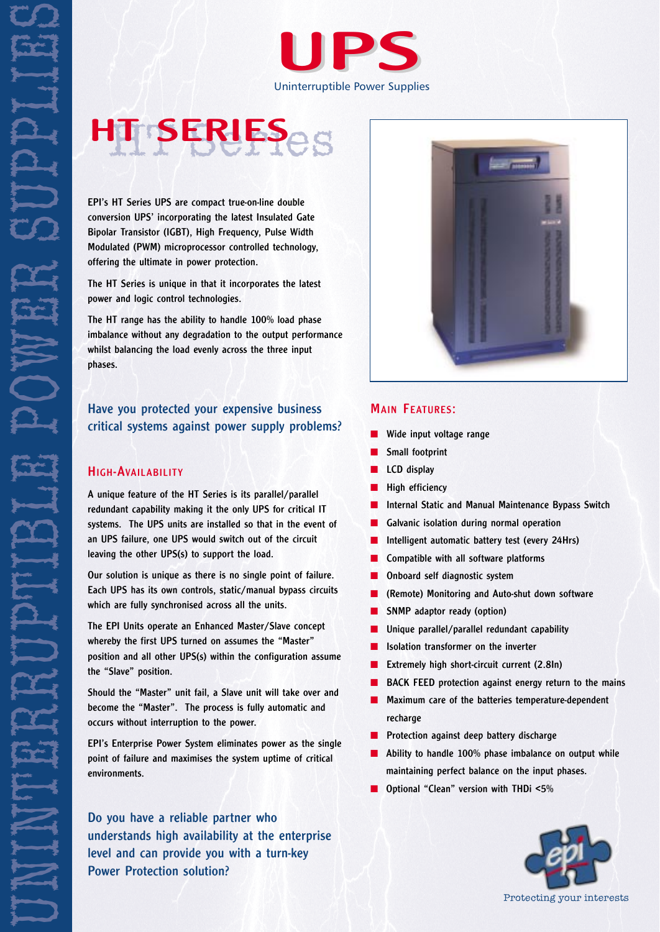

# HT SERIES<sub>es</sub>

conversion UPS' incorporating the latest Insulated Gate Bipolar Transistor (IGBT), High Frequency, Pulse Width Modulated (PWM) microprocessor controlled technology, offering the ultimate in power protection.

The HT Series is unique in that it incorporates the latest power and logic control technologies.

The HT range has the ability to handle 100% load phase imbalance without any degradation to the output performance whilst balancing the load evenly across the three input phases.

### Have you protected your expensive business critical systems against power supply problems?

#### HIGH-AVAILABILITY

A unique feature of the HT Series is its parallel/parallel redundant capability making it the only UPS for critical IT systems. The UPS units are installed so that in the event of an UPS failure, one UPS would switch out of the circuit leaving the other UPS(s) to support the load.

Our solution is unique as there is no single point of failure. Each UPS has its own controls, static/manual bypass circuits which are fully synchronised across all the units.

The EPI Units operate an Enhanced Master/Slave concept whereby the first UPS turned on assumes the "Master" position and all other UPS(s) within the configuration assume the "Slave" position.

Should the "Master" unit fail, a Slave unit will take over and become the "Master". The process is fully automatic and occurs without interruption to the power.

EPI's Enterprise Power System eliminates power as the single point of failure and maximises the system uptime of critical environments.

Do you have a reliable partner who understands high availability at the enterprise level and can provide you with a turn-key Power Protection solution?



#### MAIN FEATURES:

- Wide input voltage range
- Small footprint
- LCD display
- High efficiency
- Internal Static and Manual Maintenance Bypass Switch
- Galvanic isolation during normal operation
- Intelligent automatic battery test (every 24Hrs)
- Compatible with all software platforms
- Onboard self diagnostic system
- (Remote) Monitoring and Auto-shut down software
- SNMP adaptor ready (option)
- Unique parallel/parallel redundant capability
- Isolation transformer on the inverter
- Extremely high short-circuit current (2.8In)
- BACK FEED protection against energy return to the mains
- Maximum care of the batteries temperature-dependent recharge
- Protection against deep battery discharge
- Ability to handle 100% phase imbalance on output while maintaining perfect balance on the input phases.
- Optional "Clean" version with THDi <5%